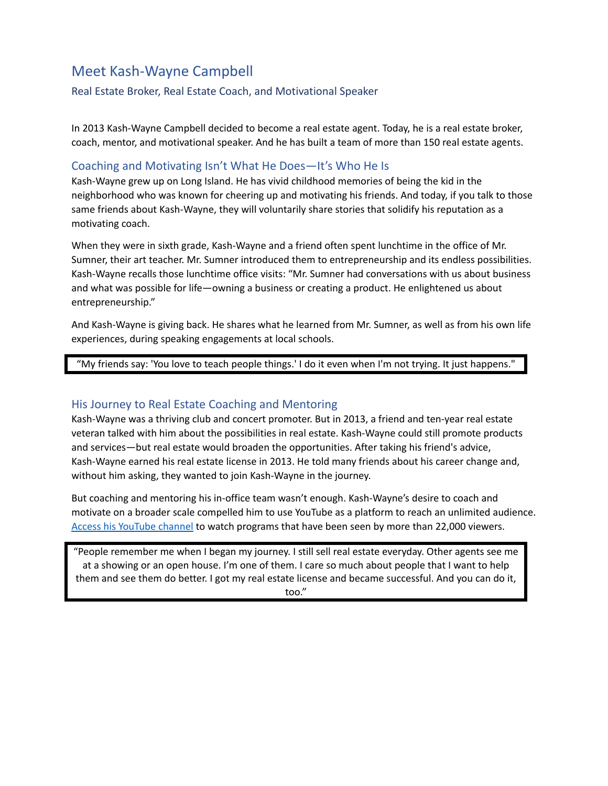# Meet Kash-Wayne Campbell

#### Real Estate Broker, Real Estate Coach, and Motivational Speaker

In 2013 Kash-Wayne Campbell decided to become a real estate agent. Today, he is a real estate broker, coach, mentor, and motivational speaker. And he has built a team of more than 150 real estate agents.

#### Coaching and Motivating Isn't What He Does—It's Who He Is

Kash-Wayne grew up on Long Island. He has vivid childhood memories of being the kid in the neighborhood who was known for cheering up and motivating his friends. And today, if you talk to those same friends about Kash-Wayne, they will voluntarily share stories that solidify his reputation as a motivating coach.

When they were in sixth grade, Kash-Wayne and a friend often spent lunchtime in the office of Mr. Sumner, their art teacher. Mr. Sumner introduced them to entrepreneurship and its endless possibilities. Kash-Wayne recalls those lunchtime office visits: "Mr. Sumner had conversations with us about business and what was possible for life—owning a business or creating a product. He enlightened us about entrepreneurship."

And Kash-Wayne is giving back. He shares what he learned from Mr. Sumner, as well as from his own life experiences, during speaking engagements at local schools.

"My friends say: 'You love to teach people things.' I do it even when I'm not trying. It just happens."

#### His Journey to Real Estate Coaching and Mentoring

Kash-Wayne was a thriving club and concert promoter. But in 2013, a friend and ten-year real estate veteran talked with him about the possibilities in real estate. Kash-Wayne could still promote products and services—but real estate would broaden the opportunities. After taking his friend's advice, Kash-Wayne earned his real estate license in 2013. He told many friends about his career change and, without him asking, they wanted to join Kash-Wayne in the journey.

But coaching and mentoring his in-office team wasn't enough. Kash-Wayne's desire to coach and motivate on a broader scale compelled him to use YouTube as a platform to reach an unlimited audience. Access his [YouTube](https://www.youtube.com/user/Kashwayneinspires) channel to watch programs that have been seen by more than 22,000 viewers.

"People remember me when I began my journey. I still sell real estate everyday. Other agents see me at a showing or an open house. I'm one of them. I care so much about people that I want to help them and see them do better. I got my real estate license and became successful. And you can do it, too."